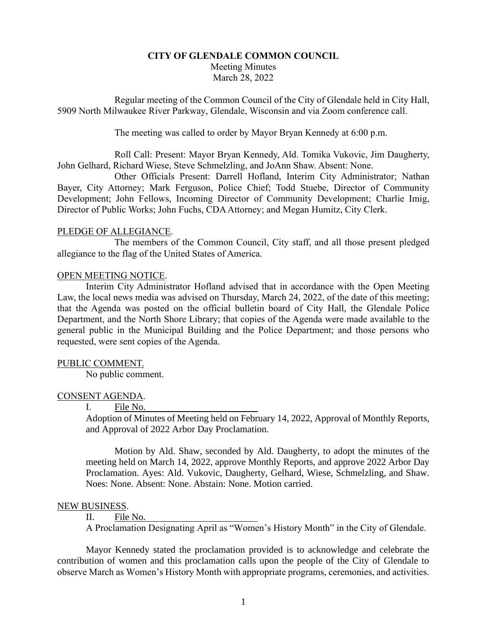# **CITY OF GLENDALE COMMON COUNCIL** Meeting Minutes March 28, 2022

Regular meeting of the Common Council of the City of Glendale held in City Hall, 5909 North Milwaukee River Parkway, Glendale, Wisconsin and via Zoom conference call.

The meeting was called to order by Mayor Bryan Kennedy at 6:00 p.m.

Roll Call: Present: Mayor Bryan Kennedy, Ald. Tomika Vukovic, Jim Daugherty, John Gelhard, Richard Wiese, Steve Schmelzling, and JoAnn Shaw. Absent: None.

Other Officials Present: Darrell Hofland, Interim City Administrator; Nathan Bayer, City Attorney; Mark Ferguson, Police Chief; Todd Stuebe, Director of Community Development; John Fellows, Incoming Director of Community Development; Charlie Imig, Director of Public Works; John Fuchs, CDA Attorney; and Megan Humitz, City Clerk.

## PLEDGE OF ALLEGIANCE.

The members of the Common Council, City staff, and all those present pledged allegiance to the flag of the United States of America.

## OPEN MEETING NOTICE.

Interim City Administrator Hofland advised that in accordance with the Open Meeting Law, the local news media was advised on Thursday, March 24, 2022, of the date of this meeting; that the Agenda was posted on the official bulletin board of City Hall, the Glendale Police Department, and the North Shore Library; that copies of the Agenda were made available to the general public in the Municipal Building and the Police Department; and those persons who requested, were sent copies of the Agenda.

## PUBLIC COMMENT.

No public comment.

## CONSENT AGENDA.

## I. File No.

Adoption of Minutes of Meeting held on February 14, 2022, Approval of Monthly Reports, and Approval of 2022 Arbor Day Proclamation.

Motion by Ald. Shaw, seconded by Ald. Daugherty, to adopt the minutes of the meeting held on March 14, 2022, approve Monthly Reports, and approve 2022 Arbor Day Proclamation. Ayes: Ald. Vukovic, Daugherty, Gelhard, Wiese, Schmelzling, and Shaw. Noes: None. Absent: None. Abstain: None. Motion carried.

## NEW BUSINESS.

## II. File No.

A Proclamation Designating April as "Women's History Month" in the City of Glendale.

Mayor Kennedy stated the proclamation provided is to acknowledge and celebrate the contribution of women and this proclamation calls upon the people of the City of Glendale to observe March as Women's History Month with appropriate programs, ceremonies, and activities.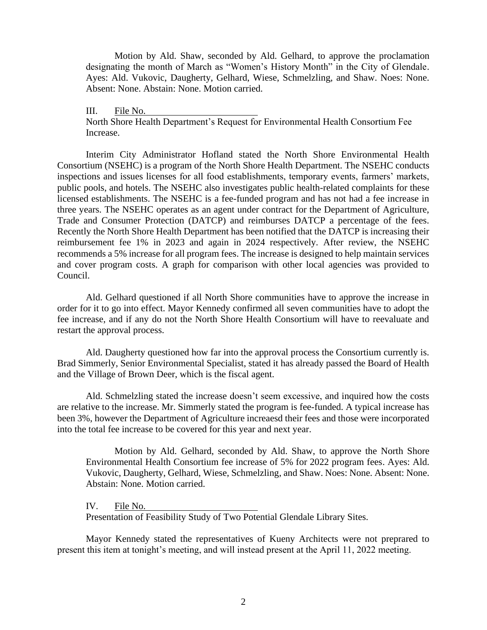Motion by Ald. Shaw, seconded by Ald. Gelhard, to approve the proclamation designating the month of March as "Women's History Month" in the City of Glendale. Ayes: Ald. Vukovic, Daugherty, Gelhard, Wiese, Schmelzling, and Shaw. Noes: None. Absent: None. Abstain: None. Motion carried.

III. File No. North Shore Health Department's Request for Environmental Health Consortium Fee Increase.

Interim City Administrator Hofland stated the North Shore Environmental Health Consortium (NSEHC) is a program of the North Shore Health Department. The NSEHC conducts inspections and issues licenses for all food establishments, temporary events, farmers' markets, public pools, and hotels. The NSEHC also investigates public health-related complaints for these licensed establishments. The NSEHC is a fee-funded program and has not had a fee increase in three years. The NSEHC operates as an agent under contract for the Department of Agriculture, Trade and Consumer Protection (DATCP) and reimburses DATCP a percentage of the fees. Recently the North Shore Health Department has been notified that the DATCP is increasing their reimbursement fee 1% in 2023 and again in 2024 respectively. After review, the NSEHC recommends a 5% increase for all program fees. The increase is designed to help maintain services and cover program costs. A graph for comparison with other local agencies was provided to Council.

Ald. Gelhard questioned if all North Shore communities have to approve the increase in order for it to go into effect. Mayor Kennedy confirmed all seven communities have to adopt the fee increase, and if any do not the North Shore Health Consortium will have to reevaluate and restart the approval process.

Ald. Daugherty questioned how far into the approval process the Consortium currently is. Brad Simmerly, Senior Environmental Specialist, stated it has already passed the Board of Health and the Village of Brown Deer, which is the fiscal agent.

Ald. Schmelzling stated the increase doesn't seem excessive, and inquired how the costs are relative to the increase. Mr. Simmerly stated the program is fee-funded. A typical increase has been 3%, however the Department of Agriculture increaesd their fees and those were incorporated into the total fee increase to be covered for this year and next year.

Motion by Ald. Gelhard, seconded by Ald. Shaw, to approve the North Shore Environmental Health Consortium fee increase of 5% for 2022 program fees. Ayes: Ald. Vukovic, Daugherty, Gelhard, Wiese, Schmelzling, and Shaw. Noes: None. Absent: None. Abstain: None. Motion carried.

IV. File No.

Presentation of Feasibility Study of Two Potential Glendale Library Sites.

Mayor Kennedy stated the representatives of Kueny Architects were not preprared to present this item at tonight's meeting, and will instead present at the April 11, 2022 meeting.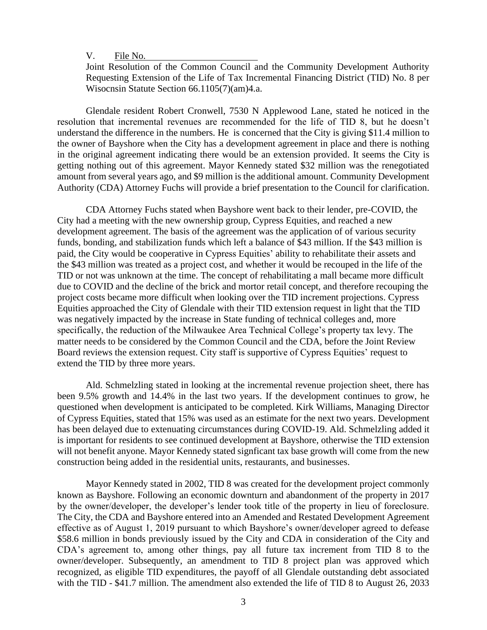V. File No.

Joint Resolution of the Common Council and the Community Development Authority Requesting Extension of the Life of Tax Incremental Financing District (TID) No. 8 per Wisocnsin Statute Section 66.1105(7)(am)4.a.

Glendale resident Robert Cronwell, 7530 N Applewood Lane, stated he noticed in the resolution that incremental revenues are recommended for the life of TID 8, but he doesn't understand the difference in the numbers. He is concerned that the City is giving \$11.4 million to the owner of Bayshore when the City has a development agreement in place and there is nothing in the original agreement indicating there would be an extension provided. It seems the City is getting nothing out of this agreement. Mayor Kennedy stated \$32 million was the renegotiated amount from several years ago, and \$9 million is the additional amount. Community Development Authority (CDA) Attorney Fuchs will provide a brief presentation to the Council for clarification.

CDA Attorney Fuchs stated when Bayshore went back to their lender, pre-COVID, the City had a meeting with the new ownership group, Cypress Equities, and reached a new development agreement. The basis of the agreement was the application of of various security funds, bonding, and stabilization funds which left a balance of \$43 million. If the \$43 million is paid, the City would be cooperative in Cypress Equities' ability to rehabilitate their assets and the \$43 million was treated as a project cost, and whether it would be recouped in the life of the TID or not was unknown at the time. The concept of rehabilitating a mall became more difficult due to COVID and the decline of the brick and mortor retail concept, and therefore recouping the project costs became more difficult when looking over the TID increment projections. Cypress Equities approached the City of Glendale with their TID extension request in light that the TID was negatively impacted by the increase in State funding of technical colleges and, more specifically, the reduction of the Milwaukee Area Technical College's property tax levy. The matter needs to be considered by the Common Council and the CDA, before the Joint Review Board reviews the extension request. City staff is supportive of Cypress Equities' request to extend the TID by three more years.

Ald. Schmelzling stated in looking at the incremental revenue projection sheet, there has been 9.5% growth and 14.4% in the last two years. If the development continues to grow, he questioned when development is anticipated to be completed. Kirk Williams, Managing Director of Cypress Equities, stated that 15% was used as an estimate for the next two years. Development has been delayed due to extenuating circumstances during COVID-19. Ald. Schmelzling added it is important for residents to see continued development at Bayshore, otherwise the TID extension will not benefit anyone. Mayor Kennedy stated signficant tax base growth will come from the new construction being added in the residential units, restaurants, and businesses.

Mayor Kennedy stated in 2002, TID 8 was created for the development project commonly known as Bayshore. Following an economic downturn and abandonment of the property in 2017 by the owner/developer, the developer's lender took title of the property in lieu of foreclosure. The City, the CDA and Bayshore entered into an Amended and Restated Development Agreement effective as of August 1, 2019 pursuant to which Bayshore's owner/developer agreed to defease \$58.6 million in bonds previously issued by the City and CDA in consideration of the City and CDA's agreement to, among other things, pay all future tax increment from TID 8 to the owner/developer. Subsequently, an amendment to TID 8 project plan was approved which recognized, as eligible TID expenditures, the payoff of all Glendale outstanding debt associated with the TID - \$41.7 million. The amendment also extended the life of TID 8 to August 26, 2033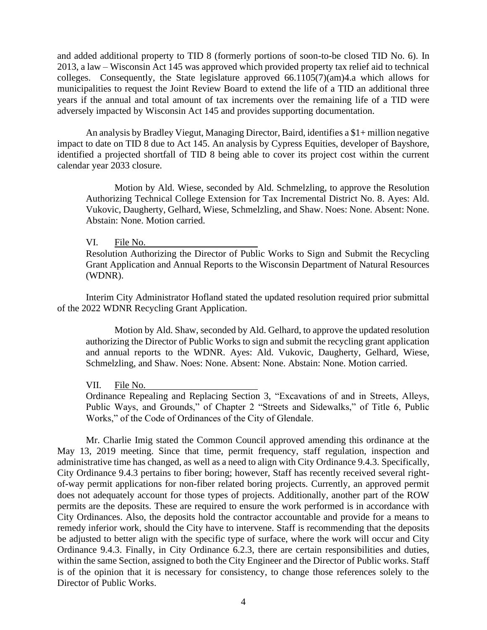and added additional property to TID 8 (formerly portions of soon-to-be closed TID No. 6). In 2013, a law – Wisconsin Act 145 was approved which provided property tax relief aid to technical colleges. Consequently, the State legislature approved  $66.1105(7)(am)4.a$  which allows for municipalities to request the Joint Review Board to extend the life of a TID an additional three years if the annual and total amount of tax increments over the remaining life of a TID were adversely impacted by Wisconsin Act 145 and provides supporting documentation.

An analysis by Bradley Viegut, Managing Director, Baird, identifies a \$1+ million negative impact to date on TID 8 due to Act 145. An analysis by Cypress Equities, developer of Bayshore, identified a projected shortfall of TID 8 being able to cover its project cost within the current calendar year 2033 closure.

Motion by Ald. Wiese, seconded by Ald. Schmelzling, to approve the Resolution Authorizing Technical College Extension for Tax Incremental District No. 8. Ayes: Ald. Vukovic, Daugherty, Gelhard, Wiese, Schmelzling, and Shaw. Noes: None. Absent: None. Abstain: None. Motion carried.

#### VI. File No.

Resolution Authorizing the Director of Public Works to Sign and Submit the Recycling Grant Application and Annual Reports to the Wisconsin Department of Natural Resources (WDNR).

Interim City Administrator Hofland stated the updated resolution required prior submittal of the 2022 WDNR Recycling Grant Application.

Motion by Ald. Shaw, seconded by Ald. Gelhard, to approve the updated resolution authorizing the Director of Public Works to sign and submit the recycling grant application and annual reports to the WDNR. Ayes: Ald. Vukovic, Daugherty, Gelhard, Wiese, Schmelzling, and Shaw. Noes: None. Absent: None. Abstain: None. Motion carried.

VII. File No.

Ordinance Repealing and Replacing Section 3, "Excavations of and in Streets, Alleys, Public Ways, and Grounds," of Chapter 2 "Streets and Sidewalks," of Title 6, Public Works," of the Code of Ordinances of the City of Glendale.

Mr. Charlie Imig stated the Common Council approved amending this ordinance at the May 13, 2019 meeting. Since that time, permit frequency, staff regulation, inspection and administrative time has changed, as well as a need to align with City Ordinance 9.4.3. Specifically, City Ordinance 9.4.3 pertains to fiber boring; however, Staff has recently received several rightof-way permit applications for non-fiber related boring projects. Currently, an approved permit does not adequately account for those types of projects. Additionally, another part of the ROW permits are the deposits. These are required to ensure the work performed is in accordance with City Ordinances. Also, the deposits hold the contractor accountable and provide for a means to remedy inferior work, should the City have to intervene. Staff is recommending that the deposits be adjusted to better align with the specific type of surface, where the work will occur and City Ordinance 9.4.3. Finally, in City Ordinance 6.2.3, there are certain responsibilities and duties, within the same Section, assigned to both the City Engineer and the Director of Public works. Staff is of the opinion that it is necessary for consistency, to change those references solely to the Director of Public Works.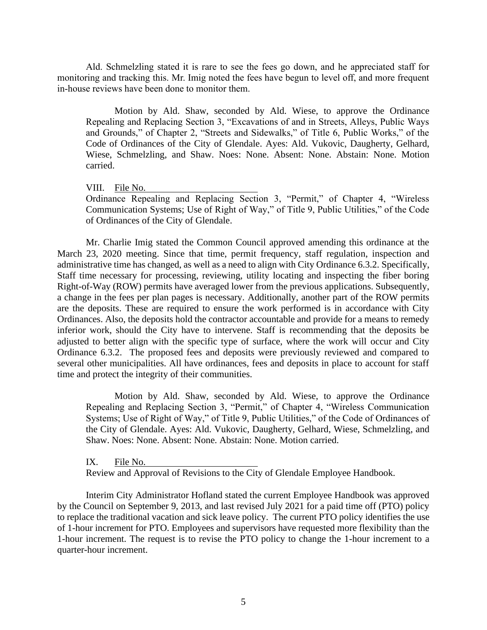Ald. Schmelzling stated it is rare to see the fees go down, and he appreciated staff for monitoring and tracking this. Mr. Imig noted the fees have begun to level off, and more frequent in-house reviews have been done to monitor them.

Motion by Ald. Shaw, seconded by Ald. Wiese, to approve the Ordinance Repealing and Replacing Section 3, "Excavations of and in Streets, Alleys, Public Ways and Grounds," of Chapter 2, "Streets and Sidewalks," of Title 6, Public Works," of the Code of Ordinances of the City of Glendale. Ayes: Ald. Vukovic, Daugherty, Gelhard, Wiese, Schmelzling, and Shaw. Noes: None. Absent: None. Abstain: None. Motion carried.

VIII. File No.

Ordinance Repealing and Replacing Section 3, "Permit," of Chapter 4, "Wireless Communication Systems; Use of Right of Way," of Title 9, Public Utilities," of the Code of Ordinances of the City of Glendale.

Mr. Charlie Imig stated the Common Council approved amending this ordinance at the March 23, 2020 meeting. Since that time, permit frequency, staff regulation, inspection and administrative time has changed, as well as a need to align with City Ordinance 6.3.2. Specifically, Staff time necessary for processing, reviewing, utility locating and inspecting the fiber boring Right-of-Way (ROW) permits have averaged lower from the previous applications. Subsequently, a change in the fees per plan pages is necessary. Additionally, another part of the ROW permits are the deposits. These are required to ensure the work performed is in accordance with City Ordinances. Also, the deposits hold the contractor accountable and provide for a means to remedy inferior work, should the City have to intervene. Staff is recommending that the deposits be adjusted to better align with the specific type of surface, where the work will occur and City Ordinance 6.3.2. The proposed fees and deposits were previously reviewed and compared to several other municipalities. All have ordinances, fees and deposits in place to account for staff time and protect the integrity of their communities.

Motion by Ald. Shaw, seconded by Ald. Wiese, to approve the Ordinance Repealing and Replacing Section 3, "Permit," of Chapter 4, "Wireless Communication Systems; Use of Right of Way," of Title 9, Public Utilities," of the Code of Ordinances of the City of Glendale. Ayes: Ald. Vukovic, Daugherty, Gelhard, Wiese, Schmelzling, and Shaw. Noes: None. Absent: None. Abstain: None. Motion carried.

IX. File No.

Review and Approval of Revisions to the City of Glendale Employee Handbook.

Interim City Administrator Hofland stated the current Employee Handbook was approved by the Council on September 9, 2013, and last revised July 2021 for a paid time off (PTO) policy to replace the traditional vacation and sick leave policy. The current PTO policy identifies the use of 1-hour increment for PTO. Employees and supervisors have requested more flexibility than the 1-hour increment. The request is to revise the PTO policy to change the 1-hour increment to a quarter-hour increment.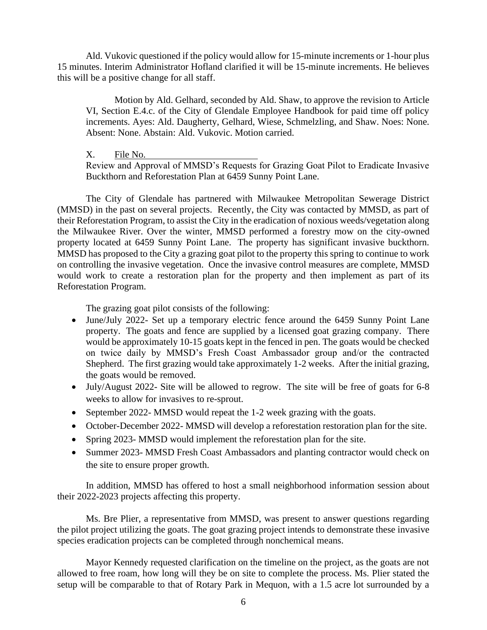Ald. Vukovic questioned if the policy would allow for 15-minute increments or 1-hour plus 15 minutes. Interim Administrator Hofland clarified it will be 15-minute increments. He believes this will be a positive change for all staff.

Motion by Ald. Gelhard, seconded by Ald. Shaw, to approve the revision to Article VI, Section E.4.c. of the City of Glendale Employee Handbook for paid time off policy increments. Ayes: Ald. Daugherty, Gelhard, Wiese, Schmelzling, and Shaw. Noes: None. Absent: None. Abstain: Ald. Vukovic. Motion carried.

X. File No.

Review and Approval of MMSD's Requests for Grazing Goat Pilot to Eradicate Invasive Buckthorn and Reforestation Plan at 6459 Sunny Point Lane.

The City of Glendale has partnered with Milwaukee Metropolitan Sewerage District (MMSD) in the past on several projects. Recently, the City was contacted by MMSD, as part of their Reforestation Program, to assist the City in the eradication of noxious weeds/vegetation along the Milwaukee River. Over the winter, MMSD performed a forestry mow on the city-owned property located at 6459 Sunny Point Lane. The property has significant invasive buckthorn. MMSD has proposed to the City a grazing goat pilot to the property this spring to continue to work on controlling the invasive vegetation. Once the invasive control measures are complete, MMSD would work to create a restoration plan for the property and then implement as part of its Reforestation Program.

The grazing goat pilot consists of the following:

- June/July 2022- Set up a temporary electric fence around the 6459 Sunny Point Lane property. The goats and fence are supplied by a licensed goat grazing company. There would be approximately 10-15 goats kept in the fenced in pen. The goats would be checked on twice daily by MMSD's Fresh Coast Ambassador group and/or the contracted Shepherd. The first grazing would take approximately 1-2 weeks. After the initial grazing, the goats would be removed.
- July/August 2022- Site will be allowed to regrow. The site will be free of goats for 6-8 weeks to allow for invasives to re-sprout.
- September 2022- MMSD would repeat the 1-2 week grazing with the goats.
- October-December 2022- MMSD will develop a reforestation restoration plan for the site.
- Spring 2023- MMSD would implement the reforestation plan for the site.
- Summer 2023- MMSD Fresh Coast Ambassadors and planting contractor would check on the site to ensure proper growth.

In addition, MMSD has offered to host a small neighborhood information session about their 2022-2023 projects affecting this property.

Ms. Bre Plier, a representative from MMSD, was present to answer questions regarding the pilot project utilizing the goats. The goat grazing project intends to demonstrate these invasive species eradication projects can be completed through nonchemical means.

Mayor Kennedy requested clarification on the timeline on the project, as the goats are not allowed to free roam, how long will they be on site to complete the process. Ms. Plier stated the setup will be comparable to that of Rotary Park in Mequon, with a 1.5 acre lot surrounded by a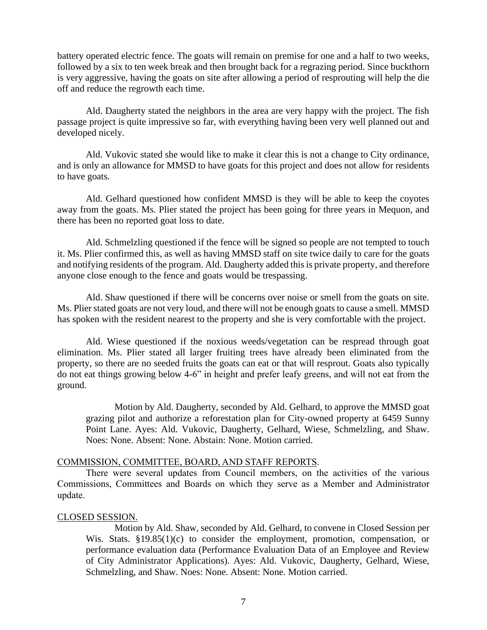battery operated electric fence. The goats will remain on premise for one and a half to two weeks, followed by a six to ten week break and then brought back for a regrazing period. Since buckthorn is very aggressive, having the goats on site after allowing a period of resprouting will help the die off and reduce the regrowth each time.

Ald. Daugherty stated the neighbors in the area are very happy with the project. The fish passage project is quite impressive so far, with everything having been very well planned out and developed nicely.

Ald. Vukovic stated she would like to make it clear this is not a change to City ordinance, and is only an allowance for MMSD to have goats for this project and does not allow for residents to have goats.

Ald. Gelhard questioned how confident MMSD is they will be able to keep the coyotes away from the goats. Ms. Plier stated the project has been going for three years in Mequon, and there has been no reported goat loss to date.

Ald. Schmelzling questioned if the fence will be signed so people are not tempted to touch it. Ms. Plier confirmed this, as well as having MMSD staff on site twice daily to care for the goats and notifying residents of the program. Ald. Daugherty added this is private property, and therefore anyone close enough to the fence and goats would be trespassing.

Ald. Shaw questioned if there will be concerns over noise or smell from the goats on site. Ms. Plier stated goats are not very loud, and there will not be enough goats to cause a smell. MMSD has spoken with the resident nearest to the property and she is very comfortable with the project.

Ald. Wiese questioned if the noxious weeds/vegetation can be respread through goat elimination. Ms. Plier stated all larger fruiting trees have already been eliminated from the property, so there are no seeded fruits the goats can eat or that will resprout. Goats also typically do not eat things growing below 4-6" in height and prefer leafy greens, and will not eat from the ground.

Motion by Ald. Daugherty, seconded by Ald. Gelhard, to approve the MMSD goat grazing pilot and authorize a reforestation plan for City-owned property at 6459 Sunny Point Lane. Ayes: Ald. Vukovic, Daugherty, Gelhard, Wiese, Schmelzling, and Shaw. Noes: None. Absent: None. Abstain: None. Motion carried.

## COMMISSION, COMMITTEE, BOARD, AND STAFF REPORTS.

There were several updates from Council members, on the activities of the various Commissions, Committees and Boards on which they serve as a Member and Administrator update.

## CLOSED SESSION.

Motion by Ald. Shaw, seconded by Ald. Gelhard, to convene in Closed Session per Wis. Stats. §19.85(1)(c) to consider the employment, promotion, compensation, or performance evaluation data (Performance Evaluation Data of an Employee and Review of City Administrator Applications). Ayes: Ald. Vukovic, Daugherty, Gelhard, Wiese, Schmelzling, and Shaw. Noes: None. Absent: None. Motion carried.